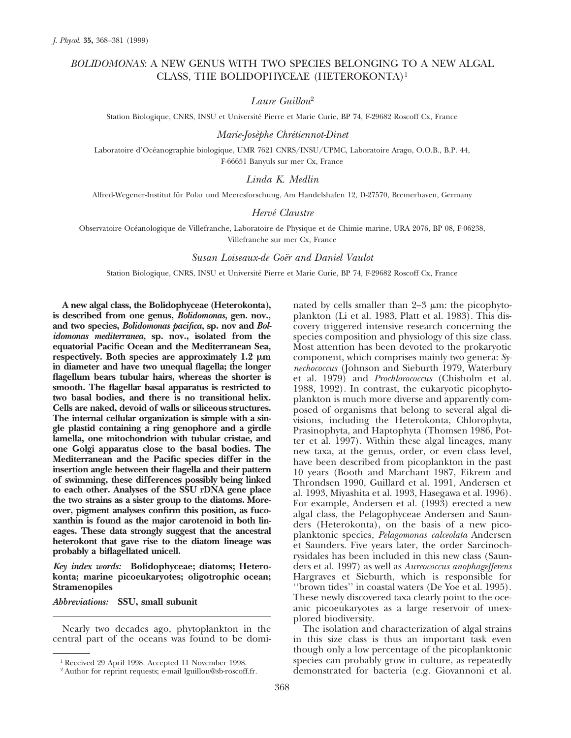# *BOLIDOMONAS*: A NEW GENUS WITH TWO SPECIES BELONGING TO A NEW ALGAL CLASS, THE BOLIDOPHYCEAE (HETEROKONTA)1

# *Laure Guillou*<sup>2</sup>

Station Biologique, CNRS, INSU et Université Pierre et Marie Curie, BP 74, F-29682 Roscoff Cx, France

## *Marie-Jose`phe Chre´tiennot-Dinet*

Laboratoire d'Océanographie biologique, UMR 7621 CNRS/INSU/UPMC, Laboratoire Arago, O.O.B., B.P. 44, F-66651 Banyuls sur mer Cx, France

## *Linda K. Medlin*

Alfred-Wegener-Institut für Polar und Meeresforschung, Am Handelshafen 12, D-27570, Bremerhaven, Germany

#### *Herve´ Claustre*

Observatoire Océanologique de Villefranche, Laboratoire de Physique et de Chimie marine, URA 2076, BP 08, F-06238, Villefranche sur mer Cx, France

#### *Susan Loiseaux-de Goe¨r and Daniel Vaulot*

Station Biologique, CNRS, INSU et Université Pierre et Marie Curie, BP 74, F-29682 Roscoff Cx, France

**A new algal class, the Bolidophyceae (Heterokonta), is described from one genus,** *Bolidomonas,* **gen. nov., and two species,** *Bolidomonas pacifica,* **sp. nov and** *Bolidomonas mediterranea,* **sp. nov., isolated from the equatorial Pacific Ocean and the Mediterranean Sea,** respectively. Both species are approximately  $1.2 \mu m$ **in diameter and have two unequal flagella; the longer flagellum bears tubular hairs, whereas the shorter is smooth. The flagellar basal apparatus is restricted to two basal bodies, and there is no transitional helix. Cells are naked, devoid of walls or siliceous structures. The internal cellular organization is simple with a single plastid containing a ring genophore and a girdle lamella, one mitochondrion with tubular cristae, and one Golgi apparatus close to the basal bodies. The Mediterranean and the Pacific species differ in the insertion angle between their flagella and their pattern of swimming, these differences possibly being linked to each other. Analyses of the SSU rDNA gene place the two strains as a sister group to the diatoms. Moreover, pigment analyses confirm this position, as fucoxanthin is found as the major carotenoid in both lineages. These data strongly suggest that the ancestral heterokont that gave rise to the diatom lineage was probably a biflagellated unicell.**

*Key index words:* **Bolidophyceae; diatoms; Heterokonta; marine picoeukaryotes; oligotrophic ocean; Stramenopiles**

*Abbreviations:* **SSU, small subunit**

Nearly two decades ago, phytoplankton in the central part of the oceans was found to be domi-

nated by cells smaller than  $2-3 \mu$ m: the picophytoplankton (Li et al. 1983, Platt et al. 1983). This discovery triggered intensive research concerning the species composition and physiology of this size class. Most attention has been devoted to the prokaryotic component, which comprises mainly two genera: *Synechococcus* (Johnson and Sieburth 1979, Waterbury et al. 1979) and *Prochlorococcus* (Chisholm et al. 1988, 1992). In contrast, the eukaryotic picophytoplankton is much more diverse and apparently composed of organisms that belong to several algal divisions, including the Heterokonta, Chlorophyta, Prasinophyta, and Haptophyta (Thomsen 1986, Potter et al. 1997). Within these algal lineages, many new taxa, at the genus, order, or even class level, have been described from picoplankton in the past 10 years (Booth and Marchant 1987, Eikrem and Throndsen 1990, Guillard et al. 1991, Andersen et al. 1993, Miyashita et al. 1993, Hasegawa et al. 1996). For example, Andersen et al. (1993) erected a new algal class, the Pelagophyceae Andersen and Saunders (Heterokonta), on the basis of a new picoplanktonic species, *Pelagomonas calceolata* Andersen et Saunders. Five years later, the order Sarcinochrysidales has been included in this new class (Saunders et al. 1997) as well as *Aureococcus anophagefferens* Hargraves et Sieburth, which is responsible for ''brown tides'' in coastal waters (De Yoe et al. 1995). These newly discovered taxa clearly point to the oceanic picoeukaryotes as a large reservoir of unexplored biodiversity.

The isolation and characterization of algal strains in this size class is thus an important task even though only a low percentage of the picoplanktonic species can probably grow in culture, as repeatedly demonstrated for bacteria (e.g. Giovannoni et al.

<sup>1</sup> Received 29 April 1998. Accepted 11 November 1998.

<sup>&</sup>lt;sup>2</sup> Author for reprint requests; e-mail lguillou@sb-roscoff.fr.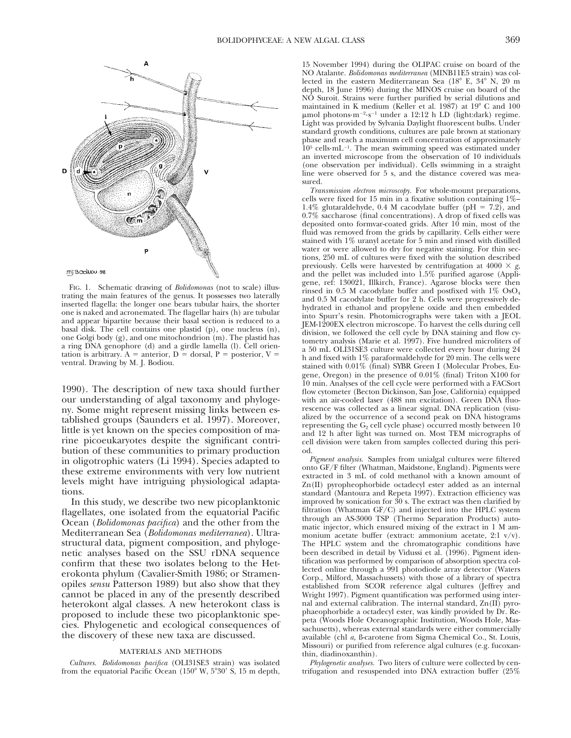

FIG. 1. Schematic drawing of *Bolidomonas* (not to scale) illustrating the main features of the genus. It possesses two laterally inserted flagella: the longer one bears tubular hairs, the shorter one is naked and acronemated. The flagellar hairs (h) are tubular and appear bipartite because their basal section is reduced to a basal disk. The cell contains one plastid (p), one nucleus (n), one Golgi body (g), and one mitochondrion (m). The plastid has a ring DNA genophore (d) and a girdle lamella (l). Cell orientation is arbitrary. A = anterior, D = dorsal, P = posterior, V = ventral. Drawing by M. J. Bodiou.

1990). The description of new taxa should further our understanding of algal taxonomy and phylogeny. Some might represent missing links between established groups (Saunders et al. 1997). Moreover, little is yet known on the species composition of marine picoeukaryotes despite the significant contribution of these communities to primary production in oligotrophic waters (Li 1994). Species adapted to these extreme environments with very low nutrient levels might have intriguing physiological adaptations.

In this study, we describe two new picoplanktonic flagellates, one isolated from the equatorial Pacific Ocean (*Bolidomonas pacifica*) and the other from the Mediterranean Sea (*Bolidomonas mediterranea*). Ultrastructural data, pigment composition, and phylogenetic analyses based on the SSU rDNA sequence confirm that these two isolates belong to the Heterokonta phylum (Cavalier-Smith 1986; or Stramenopiles *sensu* Patterson 1989) but also show that they cannot be placed in any of the presently described heterokont algal classes. A new heterokont class is proposed to include these two picoplanktonic species. Phylogenetic and ecological consequences of the discovery of these new taxa are discussed.

#### MATERIALS AND METHODS

*Cultures. Bolidomonas pacifica* (OLI31SE3 strain) was isolated from the equatorial Pacific Ocean  $(150^{\circ}$  W,  $5^{\circ}30'$  S, 15 m depth, 15 November 1994) during the OLIPAC cruise on board of the NO Atalante. *Bolidomonas mediterranea* (MINB11E5 strain) was collected in the eastern Mediterranean Sea  $(18^{\circ}$  E,  $34^{\circ}$  N, 20 m depth, 18 June 1996) during the MINOS cruise on board of the NO Suroit. Strains were further purified by serial dilutions and maintained in K medium (Keller et al. 1987) at  $19^{\circ}$  C and  $100$  $\mu$ mol photons·m<sup>-2</sup>·s<sup>-1</sup> under a 12:12 h LD (light:dark) regime. Light was provided by Sylvania Daylight fluorescent bulbs. Under standard growth conditions, cultures are pale brown at stationary phase and reach a maximum cell concentration of approximately  $10<sup>5</sup>$  cells·mL<sup>-1</sup>. The mean swimming speed was estimated under an inverted microscope from the observation of 10 individuals (one observation per individual). Cells swimming in a straight line were observed for 5 s, and the distance covered was measured.

*Transmission electron microscopy.* For whole-mount preparations, cells were fixed for 15 min in a fixative solution containing  $1\%$ -1.4% glutaraldehyde, 0.4 M cacodylate buffer (pH = 7.2), and 0.7% saccharose (final concentrations). A drop of fixed cells was deposited onto formvar-coated grids. After  $10$  min, most of the fluid was removed from the grids by capillarity. Cells either were stained with 1% uranyl acetate for 5 min and rinsed with distilled water or were allowed to dry for negative staining. For thin sections, 250 mL of cultures were fixed with the solution described previously. Cells were harvested by centrifugation at  $4000 \times g$ , and the pellet was included into 1.5% purified agarose (Appligene, ref: 130021, Illkirch, France). Agarose blocks were then rinsed in 0.5 M cacodylate buffer and postfixed with  $1\%$  OsO<sub>4</sub> and 0.5 M cacodylate buffer for 2 h. Cells were progressively dehydrated in ethanol and propylene oxide and then embedded into Spurr's resin. Photomicrographs were taken with a JEOL JEM-1200EX electron microscope. To harvest the cells during cell division, we followed the cell cycle by DNA staining and flow cytometry analysis (Marie et al. 1997). Five hundred microliters of a 50 mL OLI31SE3 culture were collected every hour during 24 h and fixed with 1% paraformaldehyde for 20 min. The cells were stained with 0.01% (final) SYBR Green I (Molecular Probes, Eugene, Oregon) in the presence of 0.01% (final) Triton X100 for 10 min. Analyses of the cell cycle were performed with a FACSort flow cytometer (Becton Dickinson, San Jose, California) equipped with an air-cooled laser (488 nm excitation). Green DNA fluorescence was collected as a linear signal. DNA replication (visualized by the occurrence of a second peak on DNA histograms representing the  $G_2$  cell cycle phase) occurred mostly between 10 and 12 h after light was turned on. Most TEM micrographs of cell division were taken from samples collected during this period.

*Pigment analysis.* Samples from unialgal cultures were filtered onto GF/F filter (Whatman, Maidstone, England). Pigments were extracted in 3 mL of cold methanol with a known amount of Zn(II) pyropheophorbide octadecyl ester added as an internal standard (Mantoura and Repeta 1997). Extraction efficiency was improved by sonication for  $30$  s. The extract was then clarified by filtration (Whatman GF/C) and injected into the HPLC system through an AS-3000 TSP (Thermo Separation Products) automatic injector, which ensured mixing of the extract in 1 M ammonium acetate buffer (extract: ammonium acetate, 2:1 v/v). The HPLC system and the chromatographic conditions have been described in detail by Vidussi et al. (1996). Pigment identification was performed by comparison of absorption spectra collected online through a 991 photodiode array detector (Waters Corp., Milford, Massachussets) with those of a library of spectra established from SCOR reference algal cultures (Jeffrey and Wright 1997). Pigment quantification was performed using internal and external calibration. The internal standard, Zn(II) pyrophaeophorbide a octadecyl ester, was kindly provided by Dr. Repeta (Woods Hole Oceanographic Institution, Woods Hole, Massachusetts), whereas external standards were either commercially available (chl *a,* ß-carotene from Sigma Chemical Co., St. Louis, Missouri) or purified from reference algal cultures (e.g. fucoxanthin, diadinoxanthin).

*Phylogenetic analyses.* Two liters of culture were collected by centrifugation and resuspended into DNA extraction buffer (25%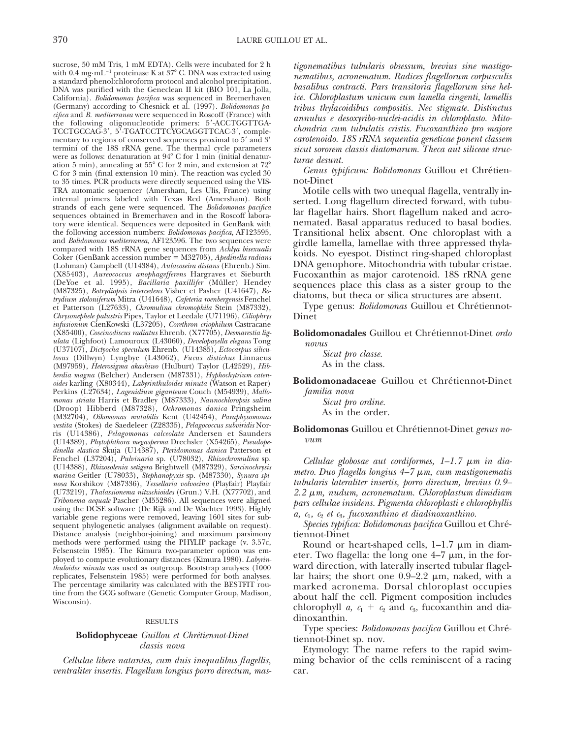sucrose, 50 mM Tris, 1 mM EDTA). Cells were incubated for 2 h with  $0.4 \text{ mg} \cdot \text{mL}^{-1}$  proteinase K at  $37^{\circ}$  C. DNA was extracted using a standard phenol:chloroform protocol and alcohol precipitation. DNA was purified with the Geneclean II kit (BIO 101, La Jolla, California). *Bolidomonas pacifica* was sequenced in Bremerhaven (Germany) according to Chesnick et al. (1997). *Bolidomonas pacifica* and *B. mediterranea* were sequenced in Roscoff (France) with the following oligonucleotide primers: 5'-ACCTGGTTGA-TCCTGCCAG-3′, 5′-TGATCCTTCYGCAGGTTCAC-3′, complementary to regions of conserved sequences proximal to  $5'$  and  $3'$ termini of the 18S rRNA gene. The thermal cycle parameters were as follows: denaturation at  $94^{\circ}$  C for 1 min (initial denaturation 5 min), annealing at  $55^{\circ}$  C for 2 min, and extension at  $72^{\circ}$ C for 3 min (final extension 10 min). The reaction was cycled 30 to 35 times. PCR products were directly sequenced using the VIS-TRA automatic sequencer (Amersham, Les Ulis, France) using internal primers labeled with Texas Red (Amersham). Both strands of each gene were sequenced. The *Bolidomonas pacifica* sequences obtained in Bremerhaven and in the Roscoff laboratory were identical. Sequences were deposited in GenBank with the following accession numbers: *Bolidomonas pacifica,* AF123595, and *Bolidomonas mediterranea,* AF123596. The two sequences were compared with 18S rRNA gene sequences from *Achlya bisexualis* Coker (GenBank accession number 5 M32705), *Apedinella radians* (Lohman) Campbell (U14384), *Aulacoseira distans* (Ehrenb.) Sim. (X85403), *Aureococcus anophagefferens* Hargraves et Sieburth (DeYoe et al. 1995), *Bacillaria paxillifer* (Müller) Hendey (M87325), *Botrydiopsis intercedens* Visher et Pasher (U41647), *Botrydium stoloniferum* Mitra (U41648), *Cafeteria roenbergensis* Fenchel et Patterson (L27633), *Chromulina chromophila* Stein (M87332), *Chrysonephele palustris* Pipes, Taylor et Leedale (U71196), *Ciliophrys infusionum* CienKowski (L37205), *Corethron criophilum* Castracane (X85400), *Coscinodiscus radiatus* Ehrenb. (X77705), *Desmarestia ligulata* (Lighfoot) Lamouroux (L43060), *Developayella elegans* Tong (U37107), *Dictyocha speculum* Ehrenb. (U14385), *Ectocarpus siliculosus* (Dillwyn) Lyngbye (L43062), *Fucus distichus* Linnaeus (M97959), *Heterosigma akashiwo* (Hulburt) Taylor (L42529), *Hibberdia magna* (Belcher) Andersen (M87331), *Hyphochytrium catenoides* karling (X80344), *Labyrinthuloides minuta* (Watson et Raper) Perkins (L27634), *Lagenidium giganteum* Couch (M54939), *Mallomonas striata* Harris et Bradley (M87333)*, Nannochloropsis salina* (Droop) Hibberd (M87328), *Ochromonas danica* Pringsheim (M32704)*, Oikomonas mutabilis* Kent (U42454), *Paraphysomonas vestita* (Stokes) de Saedeleer (Z28335), *Pelagococcus subviridis* Norris (U14386), *Pelagomonas calceolata* Andersen et Saunders (U14389), *Phytophthora megasperma* Drechsler (X54265), *Pseudopedinella elastica* Skuja (U14387), *Pteridomonas danica* Patterson et Fenchel (L37204), *Pulvinaria* sp. (U78032), *Rhizochromulina* sp. (U14388), *Rhizosolenia setigera* Brightwell (M87329), *Sarcinochrysis marina* Geitler (U78033), *Stephanopyxis* sp. (M87330), *Synura spinosa* Korshikov (M87336), *Tessellaria volvocina* (Playfair) Playfair (U73219), *Thalassionema nitzschioides* (Grun.) V.H. (X77702), and *Tribonema aequale* Pascher (M55286). All sequences were aligned using the DCSE software (De Rijk and De Wachter 1993). Highly variable gene regions were removed, leaving 1601 sites for subsequent phylogenetic analyses (alignment available on request). Distance analysis (neighbor-joining) and maximum parsimony methods were performed using the PHYLIP package (v. 3.57c, Felsenstein 1985). The Kimura two-parameter option was employed to compute evolutionary distances (Kimura 1980). *Labyrinthuloides minuta* was used as outgroup. Bootstrap analyses (1000 replicates, Felsenstein 1985) were performed for both analyses. The percentage similarity was calculated with the BESTFIT routine from the GCG software (Genetic Computer Group, Madison, Wisconsin).

#### RESULTS

## **Bolidophyceae** *Guillou et Chrétiennot-Dinet classis nova*

*Cellulae libere natantes, cum duis inequalibus flagellis, ventraliter insertis. Flagellum longius porro directum, mas-* *tigonematibus tubularis obsessum, brevius sine mastigonematibus, acronematum. Radices flagellorum corpusculis basalibus contracti. Pars transitoria flagellorum sine helice. Chloroplastum unicum cum lamella cingenti, lamellis tribus thylacoidibus compositis. Nec stigmate. Distinctus annulus e desoxyribo-nuclei-acidis in chloroplasto. Mitochondria cum tubulatis cristis. Fucoxanthino pro majore carotenoido. 18S rRNA sequentia geneticae ponent classem sicut sororem classis diatomarum. Theca aut siliceae structurae desunt.*

Genus typificum: Bolidomonas Guillou et Chrétiennot-Dinet

Motile cells with two unequal flagella, ventrally inserted. Long flagellum directed forward, with tubular flagellar hairs. Short flagellum naked and acronemated. Basal apparatus reduced to basal bodies. Transitional helix absent. One chloroplast with a girdle lamella, lamellae with three appressed thylakoids. No eyespot. Distinct ring-shaped chloroplast DNA genophore. Mitochondria with tubular cristae. Fucoxanthin as major carotenoid. 18S rRNA gene sequences place this class as a sister group to the diatoms, but theca or silica structures are absent.

Type genus: *Bolidomonas* Guillou et Chrétiennot-Dinet

Bolidomonadales Guillou et Chrétiennot-Dinet ordo *novus*

> *Sicut pro classe.* As in the class.

**Bolidomonadaceae** Guillou et Chrétiennot-Dinet *familia nova*

> *Sicut pro ordine.* As in the order.

Bolidomonas Guillou et Chrétiennot-Dinet *genus novum*

*Cellulae globosae aut cordiformes, 1–1.7* μ*m in diametro. Duo flagella longius 4–7 μm, cum mastigonematis tubularis lateraliter insertis, porro directum, brevius 0.9–* 2.2 μm, nudum, acronematum. Chloroplastum dimidiam *pars cellulae insidens. Pigmenta chloroplasti e chlorophyllis*  $a, c_1, c_2$  *et c<sub>3</sub>, fucoxanthino et diadinoxanthino.* 

*Species typifica: Bolidomonas pacifica* Guillou et Chre´ tiennot-Dinet

Round or heart-shaped cells,  $1-1.7 \mu m$  in diameter. Two flagella: the long one  $4-7 \mu m$ , in the forward direction, with laterally inserted tubular flagellar hairs; the short one  $0.9-2.2 \mu m$ , naked, with a marked acronema. Dorsal chloroplast occupies about half the cell. Pigment composition includes chlorophyll *a*,  $c_1 + c_2$  and  $c_3$ , fucoxanthin and diadinoxanthin.

Type species: *Bolidomonas pacifica* Guillou et Chrétiennot-Dinet sp. nov.

Etymology: The name refers to the rapid swimming behavior of the cells reminiscent of a racing car.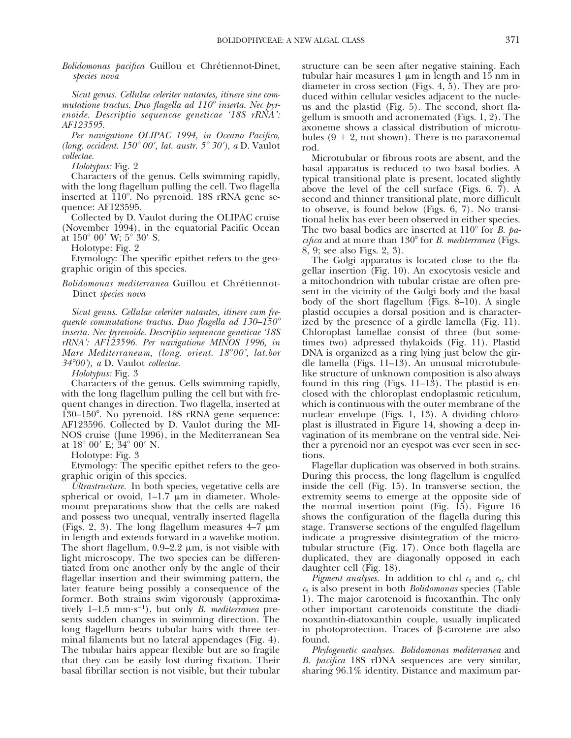Bolidomonas pacifica Guillou et Chrétiennot-Dinet, *species nova*

*Sicut genus. Cellulae celeriter natantes, itinere sine commutatione tractus. Duo flagella ad 110*<sup>8</sup> *inserta. Nec pyrenoide. Descriptio sequencae geneticae '18S rRNA': AF123595.*

*Per navigatione OLIPAC 1994, in Oceano Pacifico, (long. occident. 150° 00', lat. austr. 5° 30'), a D. Vaulot collectae.*

*Holotypus:* Fig. 2

Characters of the genus. Cells swimming rapidly, with the long flagellum pulling the cell. Two flagella inserted at  $110^{\circ}$ . No pyrenoid. 18S rRNA gene sequence: AF123595.

Collected by D. Vaulot during the OLIPAC cruise (November 1994), in the equatorial Pacific Ocean at  $150^{\circ}$  00' W;  $5^{\circ}$  30' S.

Holotype: Fig. 2

Etymology: The specific epithet refers to the geographic origin of this species.

*Bolidomonas mediterranea* Guillou et Chrétiennot-Dinet *species nova*

*Sicut genus. Cellulae celeriter natantes, itinere cum frequente commutatione tractus. Duo flagella ad 130–150*<sup>8</sup> *inserta. Nec pyrenoide. Descriptio sequencae geneticae '18S rRNA': AF123596. Per navigatione MINOS 1996, in Mare Mediterraneum, (long. orient. 18*<sup>8</sup>*00', lat.bor 34*<sup>8</sup>*00'), a* D. Vaulot *collectae.*

*Holotypus:* Fig. 3

Characters of the genus. Cells swimming rapidly, with the long flagellum pulling the cell but with frequent changes in direction. Two flagella, inserted at 130–150°. No pyrenoid. 18S rRNA gene sequence: AF123596. Collected by D. Vaulot during the MI-NOS cruise (June 1996), in the Mediterranean Sea at  $18^{\circ}$  00' E;  $34^{\circ}$  00' N.

Holotype: Fig. 3

Etymology: The specific epithet refers to the geographic origin of this species.

*Ultrastructure.* In both species, vegetative cells are spherical or ovoid,  $1-1.7 \mu m$  in diameter. Wholemount preparations show that the cells are naked and possess two unequal, ventrally inserted flagella (Figs. 2, 3). The long flagellum measures  $4-7 \mu m$ in length and extends forward in a wavelike motion. The short flagellum,  $0.9-2.2 \mu m$ , is not visible with light microscopy. The two species can be differentiated from one another only by the angle of their flagellar insertion and their swimming pattern, the later feature being possibly a consequence of the former. Both strains swim vigorously (approximatively  $1-1.5$  mm·s<sup>-1</sup>), but only *B. mediterranea* presents sudden changes in swimming direction. The long flagellum bears tubular hairs with three terminal filaments but no lateral appendages (Fig. 4). The tubular hairs appear flexible but are so fragile that they can be easily lost during fixation. Their basal fibrillar section is not visible, but their tubular

structure can be seen after negative staining. Each tubular hair measures  $1 \mu m$  in length and  $15 \mu m$  in diameter in cross section (Figs. 4, 5). They are produced within cellular vesicles adjacent to the nucleus and the plastid (Fig. 5). The second, short flagellum is smooth and acronemated (Figs. 1, 2). The axoneme shows a classical distribution of microtubules  $(9 + 2)$ , not shown). There is no paraxonemal rod.

Microtubular or fibrous roots are absent, and the basal apparatus is reduced to two basal bodies. A typical transitional plate is present, located slightly above the level of the cell surface (Figs. 6, 7). A second and thinner transitional plate, more difficult to observe, is found below (Figs. 6, 7). No transitional helix has ever been observed in either species. The two basal bodies are inserted at 110<sup>°</sup> for *B. pacifica* and at more than 130° for *B. mediterranea* (Figs. 8, 9; see also Figs. 2, 3).

The Golgi apparatus is located close to the flagellar insertion (Fig. 10). An exocytosis vesicle and a mitochondrion with tubular cristae are often present in the vicinity of the Golgi body and the basal body of the short flagellum (Figs. 8–10). A single plastid occupies a dorsal position and is characterized by the presence of a girdle lamella (Fig. 11). Chloroplast lamellae consist of three (but sometimes two) adpressed thylakoids (Fig. 11). Plastid DNA is organized as a ring lying just below the girdle lamella (Figs. 11–13). An unusual microtubulelike structure of unknown composition is also always found in this ring (Figs.  $11-13$ ). The plastid is enclosed with the chloroplast endoplasmic reticulum, which is continuous with the outer membrane of the nuclear envelope (Figs. 1, 13). A dividing chloroplast is illustrated in Figure 14, showing a deep invagination of its membrane on the ventral side. Neither a pyrenoid nor an eyespot was ever seen in sections.

Flagellar duplication was observed in both strains. During this process, the long flagellum is engulfed inside the cell (Fig. 15). In transverse section, the extremity seems to emerge at the opposite side of the normal insertion point (Fig. 15). Figure 16 shows the configuration of the flagella during this stage. Transverse sections of the engulfed flagellum indicate a progressive disintegration of the microtubular structure (Fig. 17). Once both flagella are duplicated, they are diagonally opposed in each daughter cell (Fig. 18).

*Pigment analyses.* In addition to chl  $c_1$  and  $c_2$ , chl *c*<sup>3</sup> is also present in both *Bolidomonas* species (Table 1). The major carotenoid is fucoxanthin. The only other important carotenoids constitute the diadinoxanthin-diatoxanthin couple, usually implicated in photoprotection. Traces of  $\beta$ -carotene are also found.

*Phylogenetic analyses. Bolidomonas mediterranea* and *B. pacifica* 18S rDNA sequences are very similar, sharing 96.1% identity. Distance and maximum par-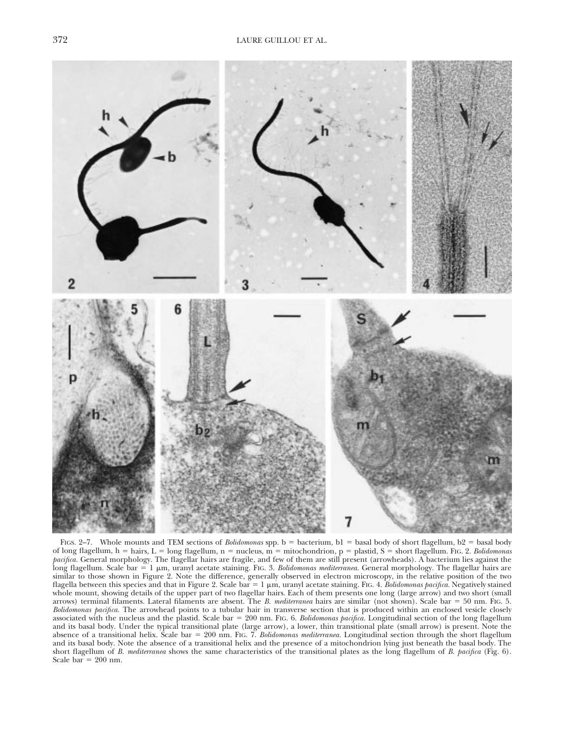

FIGS. 2-7. Whole mounts and TEM sections of *Bolidomonas* spp. b = bacterium, b1 = basal body of short flagellum, b2 = basal body of long flagellum, h = hairs, L = long flagellum, n = nucleus, m = mitochondrion, p = plastid, S = short flagellum. FIG. 2. *Bolidomonas pacifica.* General morphology. The flagellar hairs are fragile, and few of them are still present (arrowheads). A bacterium lies against the long flagellum. Scale bar = 1  $\mu$ m, uranyl acetate staining. FIG. 3. *Bolidomonas mediterranea*. General morphology. The flagellar hairs are similar to those shown in Figure 2. Note the difference, generally observed in electron microscopy, in the relative position of the two flagella between this species and that in Figure 2. Scale bar  $= 1 \mu m$ , uranyl acetate staining. FIG. 4. *Bolidomonas pacifica*. Negatively stained whole mount, showing details of the upper part of two flagellar hairs. Each of them presents one long (large arrow) and two short (small arrows) terminal filaments. Lateral filaments are absent. The *B. mediterranea* hairs are similar (not shown). Scale bar = 50 nm. FIG. 5. *Bolidomonas pacifica.* The arrowhead points to a tubular hair in transverse section that is produced within an enclosed vesicle closely associated with the nucleus and the plastid. Scale bar = 200 nm. FIG. 6. *Bolidomonas pacifica*. Longitudinal section of the long flagellum and its basal body. Under the typical transitional plate (large arrow), a lower, thin transitional plate (small arrow) is present. Note the absence of a transitional helix. Scale bar = 200 nm. FIG. 7. *Bolidomonas mediterranea*. Longitudinal section through the short flagellum and its basal body. Note the absence of a transitional helix and the presence of a mitochondrion lying just beneath the basal body. The short flagellum of *B. mediterranea* shows the same characteristics of the transitional plates as the long flagellum of *B. pacifica* (Fig. 6). Scale  $bar = 200$  nm.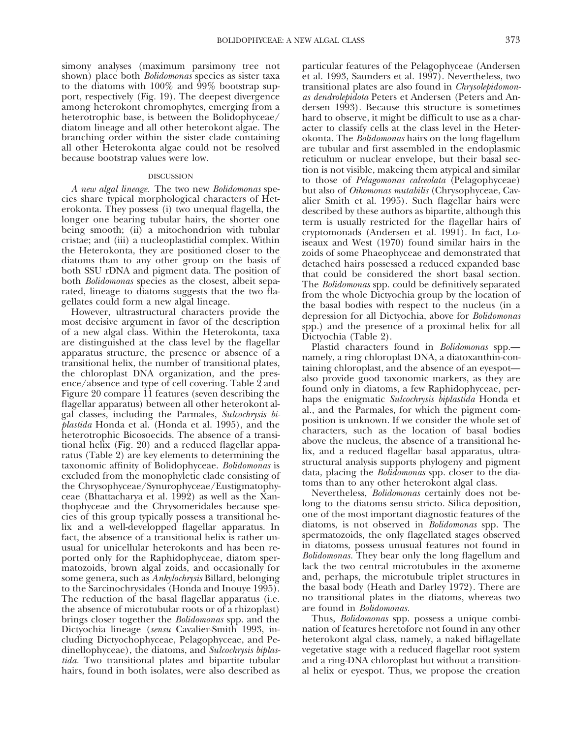simony analyses (maximum parsimony tree not shown) place both *Bolidomonas* species as sister taxa to the diatoms with  $100\%$  and  $99\%$  bootstrap support, respectively (Fig. 19). The deepest divergence among heterokont chromophytes, emerging from a heterotrophic base, is between the Bolidophyceae/ diatom lineage and all other heterokont algae. The branching order within the sister clade containing all other Heterokonta algae could not be resolved because bootstrap values were low.

#### DISCUSSION

*A new algal lineage.* The two new *Bolidomonas* species share typical morphological characters of Heterokonta. They possess (i) two unequal flagella, the longer one bearing tubular hairs, the shorter one being smooth; (ii) a mitochondrion with tubular cristae; and (iii) a nucleoplastidial complex. Within the Heterokonta, they are positioned closer to the diatoms than to any other group on the basis of both SSU rDNA and pigment data. The position of both *Bolidomonas* species as the closest, albeit separated, lineage to diatoms suggests that the two flagellates could form a new algal lineage.

However, ultrastructural characters provide the most decisive argument in favor of the description of a new algal class. Within the Heterokonta, taxa are distinguished at the class level by the flagellar apparatus structure, the presence or absence of a transitional helix, the number of transitional plates, the chloroplast DNA organization, and the presence/absence and type of cell covering. Table 2 and Figure 20 compare 11 features (seven describing the flagellar apparatus) between all other heterokont algal classes, including the Parmales, *Sulcochrysis biplastida* Honda et al. (Honda et al. 1995), and the heterotrophic Bicosoecids. The absence of a transitional helix (Fig. 20) and a reduced flagellar apparatus (Table 2) are key elements to determining the taxonomic affinity of Bolidophyceae. *Bolidomonas* is excluded from the monophyletic clade consisting of the Chrysophyceae/Synurophyceae/Eustigmatophyceae (Bhattacharya et al. 1992) as well as the Xanthophyceae and the Chrysomeridales because species of this group typically possess a transitional helix and a well-developped flagellar apparatus. In fact, the absence of a transitional helix is rather unusual for unicellular heterokonts and has been reported only for the Raphidophyceae, diatom spermatozoids, brown algal zoids, and occasionally for some genera, such as *Ankylochrysis* Billard, belonging to the Sarcinochrysidales (Honda and Inouye 1995). The reduction of the basal flagellar apparatus (i.e. the absence of microtubular roots or of a rhizoplast) brings closer together the *Bolidomonas* spp. and the Dictyochia lineage (*sensu* Cavalier-Smith 1993, including Dictyochophyceae, Pelagophyceae, and Pedinellophyceae), the diatoms, and *Sulcochrysis biplastida.* Two transitional plates and bipartite tubular hairs, found in both isolates, were also described as

particular features of the Pelagophyceae (Andersen et al. 1993, Saunders et al. 1997). Nevertheless, two transitional plates are also found in *Chrysolepidomonas dendrolepidota* Peters et Andersen (Peters and Andersen 1993). Because this structure is sometimes hard to observe, it might be difficult to use as a character to classify cells at the class level in the Heterokonta. The *Bolidomonas* hairs on the long flagellum are tubular and first assembled in the endoplasmic reticulum or nuclear envelope, but their basal section is not visible, makeing them atypical and similar to those of *Pelagomonas calceolata* (Pelagophyceae) but also of *Oikomonas mutabilis* (Chrysophyceae, Cavalier Smith et al. 1995). Such flagellar hairs were described by these authors as bipartite, although this term is usually restricted for the flagellar hairs of cryptomonads (Andersen et al. 1991). In fact, Loiseaux and West (1970) found similar hairs in the zoids of some Phaeophyceae and demonstrated that detached hairs possessed a reduced expanded base that could be considered the short basal section. The *Bolidomonas* spp. could be definitively separated from the whole Dictyochia group by the location of the basal bodies with respect to the nucleus (in a depression for all Dictyochia, above for *Bolidomonas* spp.) and the presence of a proximal helix for all Dictyochia (Table 2).

Plastid characters found in *Bolidomonas* spp. namely, a ring chloroplast DNA, a diatoxanthin-containing chloroplast, and the absence of an eyespot also provide good taxonomic markers, as they are found only in diatoms, a few Raphidophyceae, perhaps the enigmatic *Sulcochrysis biplastida* Honda et al., and the Parmales, for which the pigment composition is unknown. If we consider the whole set of characters, such as the location of basal bodies above the nucleus, the absence of a transitional helix, and a reduced flagellar basal apparatus, ultrastructural analysis supports phylogeny and pigment data, placing the *Bolidomonas* spp. closer to the diatoms than to any other heterokont algal class.

Nevertheless, *Bolidomonas* certainly does not belong to the diatoms sensu stricto. Silica deposition, one of the most important diagnostic features of the diatoms, is not observed in *Bolidomonas* spp. The spermatozoids, the only flagellated stages observed in diatoms, possess unusual features not found in *Bolidomonas.* They bear only the long flagellum and lack the two central microtubules in the axoneme and, perhaps, the microtubule triplet structures in the basal body (Heath and Darley 1972). There are no transitional plates in the diatoms, whereas two are found in *Bolidomonas.*

Thus, *Bolidomonas* spp. possess a unique combination of features heretofore not found in any other heterokont algal class, namely, a naked biflagellate vegetative stage with a reduced flagellar root system and a ring-DNA chloroplast but without a transitional helix or eyespot. Thus, we propose the creation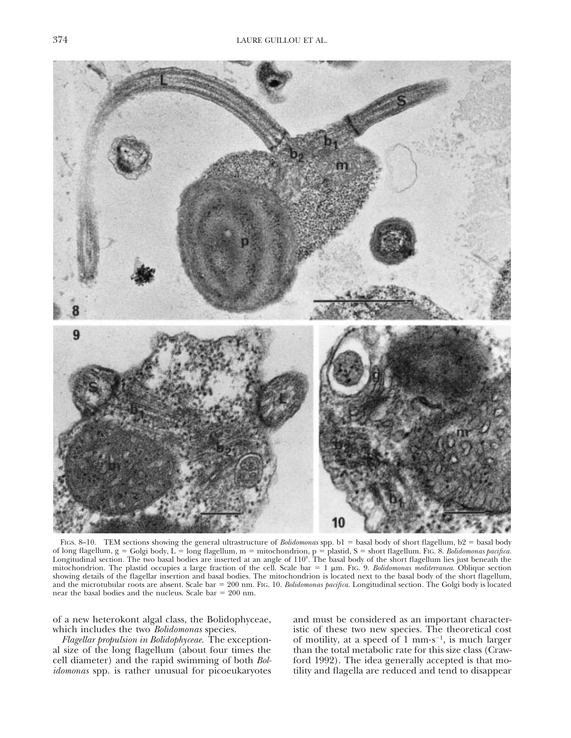

FIGS. 8-10. TEM sections showing the general ultrastructure of *Bolidomonas* spp. b1 = basal body of short flagellum, b2 = basal body of long flagellum, g = Golgi body, L = long flagellum, m = mitochondrion, p = plastid, S = short flagellum. FIG. 8. *Bolidomonas pacifica*. Longitudinal section. The two basal bodies are inserted at an angle of 110°. The basal body of the short flagellum lies just beneath the mitochondrion. The plastid occupies a large fraction of the cell. Scale bar  $= 1 \mu m$ . Fig. 9. *Bolidomonas mediterranea*. Oblique section showing details of the flagellar insertion and basal bodies. The mitochondrion is located next to the basal body of the short flagellum, and the microtubular roots are absent. Scale bar 5 200 nm. FIG. 10. *Bolidomonas pacifica.* Longitudinal section. The Golgi body is located near the basal bodies and the nucleus. Scale bar  $= 200$  nm.

of a new heterokont algal class, the Bolidophyceae, which includes the two *Bolidomonas* species.

*Flagellar propulsion in Bolidophyceae.* The exceptional size of the long flagellum (about four times the cell diameter) and the rapid swimming of both *Bolidomonas* spp. is rather unusual for picoeukaryotes

and must be considered as an important characteristic of these two new species. The theoretical cost of motility, at a speed of  $1 \text{ mm} \cdot \text{s}^{-1}$ , is much larger than the total metabolic rate for this size class (Crawford 1992). The idea generally accepted is that motility and flagella are reduced and tend to disappear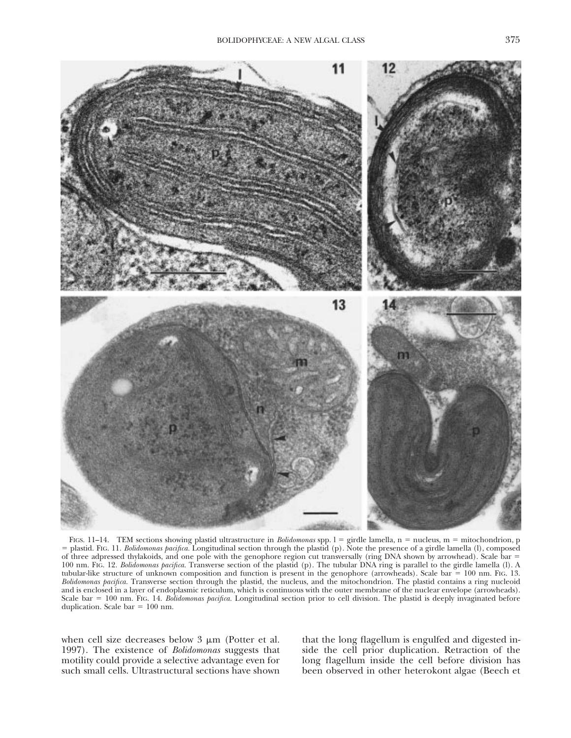

FIGS. 11-14. TEM sections showing plastid ultrastructure in *Bolidomonas* spp. 1 = girdle lamella, n = nucleus, m = mitochondrion, p 5 plastid. FIG. 11. *Bolidomonas pacifica.* Longitudinal section through the plastid (p). Note the presence of a girdle lamella (l), composed of three adpressed thylakoids, and one pole with the genophore region cut transversally (ring DNA shown by arrowhead). Scale bar = 100 nm. FIG. 12. *Bolidomonas pacifica.* Transverse section of the plastid (p). The tubular DNA ring is parallel to the girdle lamella (l). A tubular-like structure of unknown composition and function is present in the genophore (arrowheads). Scale bar  $= 100$  nm. Fig. 13. *Bolidomonas pacifica.* Transverse section through the plastid, the nucleus, and the mitochondrion. The plastid contains a ring nucleoid and is enclosed in a layer of endoplasmic reticulum, which is continuous with the outer membrane of the nuclear envelope (arrowheads). Scale bar = 100 nm. FIG. 14. *Bolidomonas pacifica*. Longitudinal section prior to cell division. The plastid is deeply invaginated before duplication. Scale bar  $= 100$  nm.

when cell size decreases below  $3 \mu m$  (Potter et al. 1997). The existence of *Bolidomonas* suggests that motility could provide a selective advantage even for such small cells. Ultrastructural sections have shown

that the long flagellum is engulfed and digested inside the cell prior duplication. Retraction of the long flagellum inside the cell before division has been observed in other heterokont algae (Beech et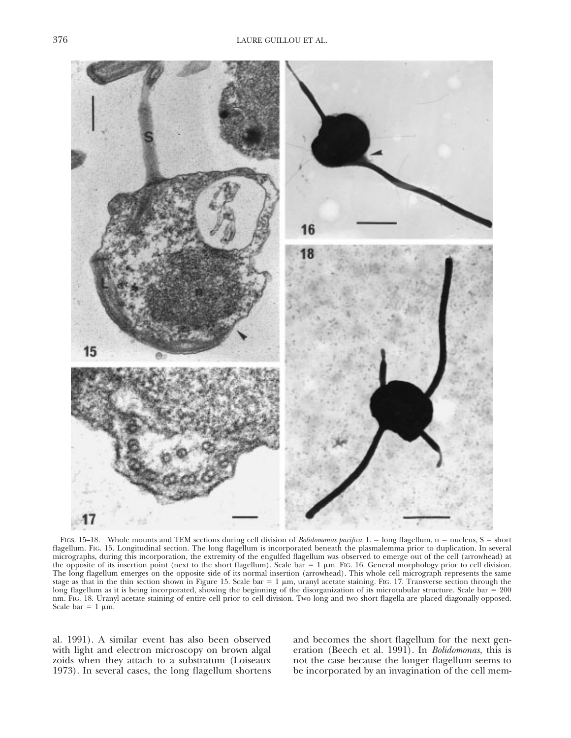

FIGS. 15–18. Whole mounts and TEM sections during cell division of *Bolidomonas pacifica*. L = long flagellum, n = nucleus, S = short flagellum. FIG. 15. Longitudinal section. The long flagellum is incorporated beneath the plasmalemma prior to duplication. In several micrographs, during this incorporation, the extremity of the engulfed flagellum was observed to emerge out of the cell (arrowhead) at the opposite of its insertion point (next to the short flagellum). Scale bar  $= 1 \mu m$ . Fig. 16. General morphology prior to cell division. The long flagellum emerges on the opposite side of its normal insertion (arrowhead). This whole cell micrograph represents the same stage as that in the thin section shown in Figure 15. Scale bar  $= 1 \mu m$ , uranyl acetate staining. FIG. 17. Transverse section through the long flagellum as it is being incorporated, showing the beginning of the disorganization of its microtubular structure. Scale bar  $= 200$ nm. FIG. 18. Uranyl acetate staining of entire cell prior to cell division. Two long and two short flagella are placed diagonally opposed. Scale bar =  $1 \mu m$ .

al. 1991). A similar event has also been observed with light and electron microscopy on brown algal zoids when they attach to a substratum (Loiseaux 1973). In several cases, the long flagellum shortens and becomes the short flagellum for the next generation (Beech et al. 1991). In *Bolidomonas,* this is not the case because the longer flagellum seems to be incorporated by an invagination of the cell mem-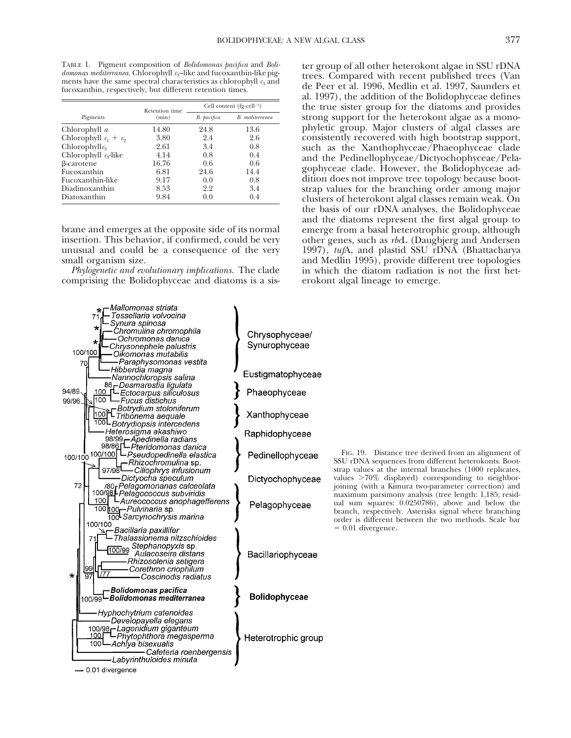TABLE 1. Pigment composition of *Bolidomonas pacifica* and *Bolidomonas mediterranea*. Chlorophyll  $c_3$ –like and fucoxanthin-like pigments have the same spectral characteristics as chlorophyll  $c_3$  and fucoxanthin, respectively, but different retention times.

|                         | Retention time | Cell content (fg·cell <sup>-1</sup> ) |                 |  |  |  |  |
|-------------------------|----------------|---------------------------------------|-----------------|--|--|--|--|
| Pigments                | (min)          | B. pacifica                           | B. mediterranea |  |  |  |  |
| Chlorophyll a           | 14.80          | 24.8                                  | 13.6            |  |  |  |  |
| Chlorophyll $c_1 + c_2$ | 3.80           | 2.4                                   | 2.6             |  |  |  |  |
| Chlorophyll $c_3$       | 2.61           | 3.4                                   | 0.8             |  |  |  |  |
| Chlorophyll $c_3$ -like | 4.14           | 0.8                                   | 0.4             |  |  |  |  |
| β-carotene              | 16.76          | 0.6                                   | 0.6             |  |  |  |  |
| Fucoxanthin             | 6.81           | 24.6                                  | 14.4            |  |  |  |  |
| Fucoxanthin-like        | 9.17           | 0.0                                   | 0.8             |  |  |  |  |
| Diadinoxanthin          | 8.53           | 2.2                                   | 3.4             |  |  |  |  |
| Diatoxanthin            | 9.84           | 0.0                                   | 0.4             |  |  |  |  |

brane and emerges at the opposite side of its normal insertion. This behavior, if confirmed, could be very unusual and could be a consequence of the very small organism size.

*Phylogenetic and evolutionary implications.* The clade comprising the Bolidophyceae and diatoms is a sis-

ter group of all other heterokont algae in SSU rDNA trees. Compared with recent published trees (Van de Peer et al. 1996, Medlin et al. 1997, Saunders et al. 1997), the addition of the Bolidophyceae defines the true sister group for the diatoms and provides strong support for the heterokont algae as a monophyletic group. Major clusters of algal classes are consistently recovered with high bootstrap support, such as the Xanthophyceae/Phaeophyceae clade and the Pedinellophyceae/Dictyochophyceae/Pelagophyceae clade. However, the Bolidophyceae addition does not improve tree topology because bootstrap values for the branching order among major clusters of heterokont algal classes remain weak. On the basis of our rDNA analyses, the Bolidophyceae and the diatoms represent the first algal group to emerge from a basal heterotrophic group, although other genes, such as *rbc*L (Daugbjerg and Andersen 1997), *tuf*A, and plastid SSU rDNA (Bhattacharya and Medlin 1995), provide different tree topologies in which the diatom radiation is not the first heterokont algal lineage to emerge.

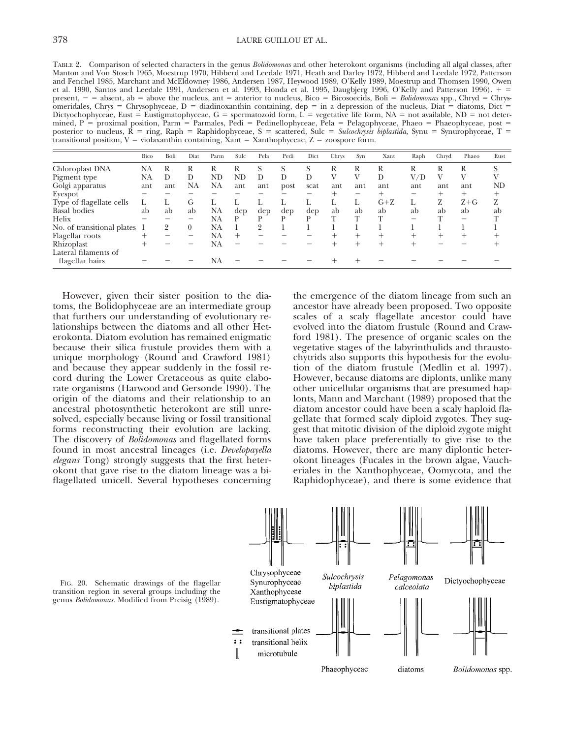TABLE 2. Comparison of selected characters in the genus *Bolidomonas* and other heterokont organisms (including all algal classes, after Manton and Von Stosch 1965, Moestrup 1970, Hibberd and Leedale 1971, Heath and Darley 1972, Hibberd and Leedale 1972, Patterson and Fenchel 1985, Marchant and McEldowney 1986, Andersen 1987, Heywood 1989, O'Kelly 1989, Moestrup and Thomsen 1990, Owen et al. 1990, Santos and Leedale 1991, Andersen et al. 1993, Honda et al. 1995, Daugbjerg 1996, O'Kelly and Patterson 1996).  $+$  = present, - = absent, ab = above the nucleus, ant = anterior to nucleus, Bico = Bicosoecids, Boli = *Bolidomonas* spp., Chryd = Chrysomeridales, Chrys = Chrysophyceae, D = diadinoxanthin containing, dep = in a depression of the nucleus, Diat = diatoms, Dict = Dictyochophyceae, Eust = Eustigmatophyceae, G = spermatozoid form,  $L$  = vegetative life form, NA = not available, ND = not determined, P = proximal position, Parm = Parmales, Pedi = Pedinellophyceae, Pela = Pelagophyceae, Phaeo = Phaeophyceae, post = posterior to nucleus, R = ring, Raph = Raphidophyceae, S = scattered, Sulc = Sulcochrysis biplastida, Synu = Synurophyceae, T = transitional position,  $V =$  violaxanthin containing, Xant = Xanthophyceae,  $Z =$  zoospore form.

|                                         | Bico | Boli | Diat     | Parm | Sulc   | Pela | Pedi | Dict | Chrys | Syn  | Xant  | Raph | Chryd  | Phaeo   | Eust |
|-----------------------------------------|------|------|----------|------|--------|------|------|------|-------|------|-------|------|--------|---------|------|
| Chloroplast DNA                         | NA   | R    | R        | R    | R      | S    |      |      | R     | R    | R     | R    | R      | R       | S    |
| Pigment type                            | NA   |      | D        | ND   | ND     | D    | D    | D    |       |      | D     | V/D  |        | V       |      |
| Golgi apparatus                         | ant  | ant  | NA       | NA   | ant    | ant  | post | scat | ant   | ant  | ant   | ant  | ant    | ant     | ND   |
| Eyespot                                 |      |      |          |      |        |      |      |      |       |      |       |      |        | $^+$    |      |
| Type of flagellate cells                |      |      | G        |      |        |      |      |      |       |      | $G+Z$ |      | Z      | $Z + G$ | Z    |
| <b>Basal</b> bodies                     | ab   | ab   | ab       | NA   | dep    | dep  | dep  | dep  | ab    | ab   | ab    | ab   | ab     | ab      | ab   |
| Helix                                   |      |      |          | NA   | D      | D    | D    | D    | T     | T    | ௱     | –    |        | —       |      |
| No. of transitional plates              |      | 2    | $\theta$ | NA   |        | 9    |      |      |       |      |       |      |        |         |      |
| Flagellar roots                         |      |      | –        | NA   | $^{+}$ |      |      |      |       | $^+$ |       |      | $^{+}$ |         |      |
| Rhizoplast                              |      |      |          | NA   |        |      |      |      |       |      |       |      |        |         |      |
| Lateral filaments of<br>flagellar hairs |      |      |          | NA   |        |      |      |      |       |      |       |      |        |         |      |

However, given their sister position to the diatoms, the Bolidophyceae are an intermediate group that furthers our understanding of evolutionary relationships between the diatoms and all other Heterokonta. Diatom evolution has remained enigmatic because their silica frustule provides them with a unique morphology (Round and Crawford 1981) and because they appear suddenly in the fossil record during the Lower Cretaceous as quite elaborate organisms (Harwood and Gersonde 1990). The origin of the diatoms and their relationship to an ancestral photosynthetic heterokont are still unresolved, especially because living or fossil transitional forms reconstructing their evolution are lacking. The discovery of *Bolidomonas* and flagellated forms found in most ancestral lineages (i.e. *Developayella elegans* Tong) strongly suggests that the first heterokont that gave rise to the diatom lineage was a biflagellated unicell. Several hypotheses concerning

the emergence of the diatom lineage from such an ancestor have already been proposed. Two opposite scales of a scaly flagellate ancestor could have evolved into the diatom frustule (Round and Crawford 1981). The presence of organic scales on the vegetative stages of the labyrinthulids and thraustochytrids also supports this hypothesis for the evolution of the diatom frustule (Medlin et al. 1997). However, because diatoms are diplonts, unlike many other unicellular organisms that are presumed haplonts, Mann and Marchant (1989) proposed that the diatom ancestor could have been a scaly haploid flagellate that formed scaly diploid zygotes. They suggest that mitotic division of the diploid zygote might have taken place preferentially to give rise to the diatoms. However, there are many diplontic heterokont lineages (Fucales in the brown algae, Vaucheriales in the Xanthophyceae, Oomycota, and the Raphidophyceae), and there is some evidence that



FIG. 20. Schematic drawings of the flagellar transition region in several groups including the genus *Bolidomonas.* Modified from Preisig (1989).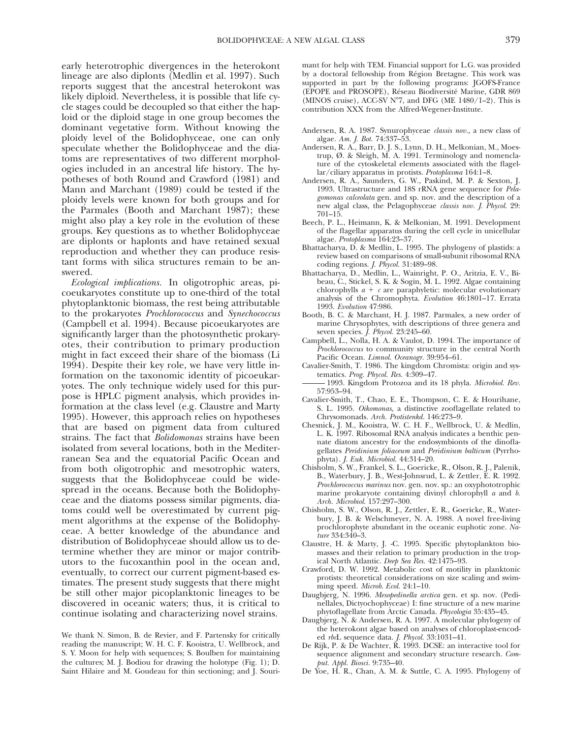early heterotrophic divergences in the heterokont lineage are also diplonts (Medlin et al. 1997). Such reports suggest that the ancestral heterokont was likely diploid. Nevertheless, it is possible that life cycle stages could be decoupled so that either the haploid or the diploid stage in one group becomes the dominant vegetative form. Without knowing the ploidy level of the Bolidophyceae, one can only speculate whether the Bolidophyceae and the diatoms are representatives of two different morphologies included in an ancestral life history. The hypotheses of both Round and Crawford (1981) and Mann and Marchant (1989) could be tested if the ploidy levels were known for both groups and for the Parmales (Booth and Marchant 1987); these might also play a key role in the evolution of these groups. Key questions as to whether Bolidophyceae are diplonts or haplonts and have retained sexual reproduction and whether they can produce resistant forms with silica structures remain to be answered.

*Ecological implications.* In oligotrophic areas, picoeukaryotes constitute up to one-third of the total phytoplanktonic biomass, the rest being attributable to the prokaryotes *Prochlorococcus* and *Synechococcus* (Campbell et al. 1994). Because picoeukaryotes are significantly larger than the photosynthetic prokaryotes, their contribution to primary production might in fact exceed their share of the biomass (Li 1994). Despite their key role, we have very little information on the taxonomic identity of picoeukaryotes. The only technique widely used for this purpose is HPLC pigment analysis, which provides information at the class level (e.g. Claustre and Marty 1995). However, this approach relies on hypotheses that are based on pigment data from cultured strains. The fact that *Bolidomonas* strains have been isolated from several locations, both in the Mediterranean Sea and the equatorial Pacific Ocean and from both oligotrophic and mesotrophic waters, suggests that the Bolidophyceae could be widespread in the oceans. Because both the Bolidophyceae and the diatoms possess similar pigments, diatoms could well be overestimated by current pigment algorithms at the expense of the Bolidophyceae. A better knowledge of the abundance and distribution of Bolidophyceae should allow us to determine whether they are minor or major contributors to the fucoxanthin pool in the ocean and, eventually, to correct our current pigment-based estimates. The present study suggests that there might be still other major picoplanktonic lineages to be discovered in oceanic waters; thus, it is critical to continue isolating and characterizing novel strains.

We thank N. Simon, B. de Revier, and F. Partensky for critically reading the manuscript; W. H. C. F. Kooistra, U. Wellbrock, and S. Y. Moon for help with sequences; S. Boulben for maintaining the cultures; M. J. Bodiou for drawing the holotype (Fig. 1); D. Saint Hilaire and M. Goudeau for thin sectioning; and J. Sourimant for help with TEM. Financial support for L.G. was provided by a doctoral fellowship from Région Bretagne. This work was supported in part by the following programs: JGOFS-France (EPOPE and PROSOPE), Réseau Biodiversité Marine, GDR 869 (MINOS cruise), ACC-SV  $N^{\circ}7$ , and DFG (ME 1480/1–2). This is contribution XXX from the Alfred-Wegener-Institute.

- Andersen, R. A. 1987. Synurophyceae *classis nov.,* a new class of algae. *Am. J. Bot.* 74:337–53.
- Andersen, R. A., Barr, D. J. S., Lynn, D. H., Melkonian, M., Moestrup, Ø. & Sleigh, M. A. 1991. Terminology and nomenclature of the cytoskeletal elements associated with the flagellar/ciliary apparatus in protists. *Protoplasma* 164:1–8.
- Andersen, R. A., Saunders, G. W., Paskind, M. P. & Sexton, J. 1993. Ultrastructure and 18S rRNA gene sequence for *Pelagomonas calceolata* gen. and sp. nov. and the description of a new algal class, the Pelagophyceae *classis nov. J. Phycol.* 29: 701–15.
- Beech, P. L., Heimann, K. & Melkonian, M. 1991. Development of the flagellar apparatus during the cell cycle in unicellular algae. *Protoplasma* 164:23–37.
- Bhattacharya, D. & Medlin, L. 1995. The phylogeny of plastids: a review based on comparisons of small-subunit ribosomal RNA coding regions. *J. Phycol.* 31:489–98.
- Bhattacharya, D., Medlin, L., Wainright, P. O., Aritzia, E. V., Bibeau, C., Stickel, S. K. & Sogin, M. L. 1992. Algae containing chlorophylls  $a + c$  are paraphyletic: molecular evolutionary analysis of the Chromophyta. *Evolution* 46:1801–17. Errata 1993. *Evolution* 47:986.
- Booth, B. C. & Marchant, H. J. 1987. Parmales, a new order of marine Chrysophytes, with descriptions of three genera and seven species. *J. Phycol.* 23:245–60.
- Campbell, L., Nolla, H. A. & Vaulot, D. 1994. The importance of *Prochlorococcus* to community structure in the central North Pacific Ocean. *Limnol. Oceanogr.* 39:954–61.
- Cavalier-Smith, T. 1986. The kingdom Chromista: origin and systematics. *Prog. Phycol. Res.* 4:309–47.
- 1993. Kingdom Protozoa and its 18 phyla. *Microbiol. Rev.* 57:953–94.
- Cavalier-Smith, T., Chao, E. E., Thompson, C. E. & Hourihane, S. L. 1995. *Oikomonas,* a distinctive zooflagellate related to Chrysomonads. *Arch. Protistenkd.* 146:273–9.
- Chesnick, J. M., Kooistra, W. C. H. F., Wellbrock, U. & Medlin, L. K. 1997. Ribosomal RNA analysis indicates a benthic pennate diatom ancestry for the endosymbionts of the dinoflagellates *Peridinium foliaceum* and *Peridinium balticum* (Pyrrhophyta). *J. Euk. Microbiol.* 44:314–20.
- Chisholm, S. W., Frankel, S. L., Goericke, R., Olson, R. J., Palenik, B., Waterbury, J. B., West-Johnsrud, L. & Zettler, E. R. 1992. *Prochlorococcus marinus* nov. gen. nov. sp.: an oxyphototrophic marine prokaryote containing divinyl chlorophyll *a* and *b. Arch. Microbiol.* 157:297–300.
- Chisholm, S. W., Olson, R. J., Zettler, E. R., Goericke, R., Waterbury, J. B. & Welschmeyer, N. A. 1988. A novel free-living prochlorophyte abundant in the oceanic euphotic zone. *Nature* 334:340–3.
- Claustre, H. & Marty, J. -C. 1995. Specific phytoplankton biomasses and their relation to primary production in the tropical North Atlantic. *Deep Sea Res.* 42:1475–93.
- Crawford, D. W. 1992. Metabolic cost of motility in planktonic protists: theoretical considerations on size scaling and swimming speed. *Microb. Ecol.* 24:1–10.
- Daugbjerg, N. 1996. *Mesopedinella arctica* gen. et sp. nov. (Pedinellales, Dictyochophyceae) I: fine structure of a new marine phytoflagellate from Arctic Canada. *Phycologia* 35:435–45.
- Daugbjerg, N. & Andersen, R. A. 1997. A molecular phylogeny of the heterokont algae based on analyses of chloroplast-encoded *rbc*L sequence data. *J. Phycol.* 33:1031–41.
- De Rijk, P. & De Wachter, R. 1993. DCSE: an interactive tool for sequence alignment and secondary structure research. *Comput. Appl. Biosci.* 9:735–40.
- De Yoe, H. R., Chan, A. M. & Suttle, C. A. 1995. Phylogeny of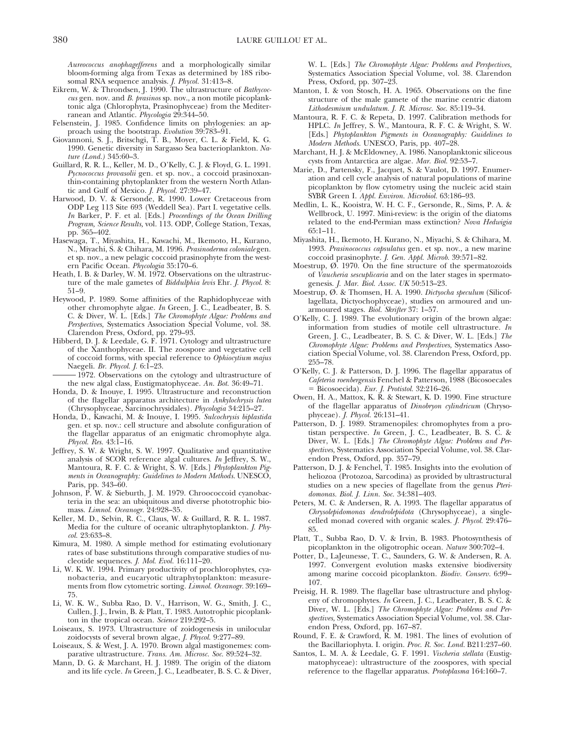*Aureococcus anophagefferens* and a morphologically similar bloom-forming alga from Texas as determined by 18S ribosomal RNA sequence analysis. *J. Phycol.* 31:413–8.

- Eikrem, W. & Throndsen, J. 1990. The ultrastructure of *Bathycoccus* gen. nov. and *B. prasinos* sp. nov., a non motile picoplanktonic alga (Chlorophyta, Prasinophyceae) from the Mediterranean and Atlantic. *Phycologia* 29:344–50.
- Felsenstein, J. 1985. Confidence limits on phylogenies: an approach using the bootstrap. *Evolution* 39:783–91.
- Giovannoni, S. J., Britschgi, T. B., Moyer, C. L. & Field, K. G. 1990. Genetic diversity in Sargasso Sea bacterioplankton. *Nature (Lond.)* 345:60–3.
- Guillard, R. R. L., Keller, M. D., O'Kelly, C. J. & Floyd, G. L. 1991. *Pycnococcus provasolii* gen. et sp. nov., a coccoid prasinoxanthin-containing phytoplankter from the western North Atlantic and Gulf of Mexico. *J. Phycol.* 27:39–47.
- Harwood, D. V. & Gersonde, R. 1990. Lower Cretaceous from ODP Leg 113 Site 693 (Weddell Sea). Part I. vegetative cells. *In* Barker, P. F. et al. [Eds.] *Proceedings of the Ocean Drilling Program, Science Results,* vol. 113. ODP, College Station, Texas, pp. 365–402.
- Hasewaga, T., Miyashita, H., Kawachi, M., Ikemoto, H., Kurano, N., Miyachi, S. & Chihara, M. 1996. *Prasinoderma coloniale* gen. et sp. nov., a new pelagic coccoid prasinophyte from the western Pacific Ocean. *Phycologia* 35:170–6.
- Heath, I. B. & Darley, W. M. 1972. Observations on the ultrastructure of the male gametes of *Biddulphia levis* Ehr. *J. Phycol.* 8: 51–9.
- Heywood, P. 1989. Some affinities of the Raphidophyceae with other chromophyte algae. *In* Green, J. C., Leadbeater, B. S. C. & Diver, W. L. [Eds.] *The Chromophyte Algae: Problems and Perspectives,* Systematics Association Special Volume, vol. 38. Clarendon Press, Oxford, pp. 279–93.
- Hibberd, D. J. & Leedale, G. F. 1971. Cytology and ultrastructure of the Xanthophyceae. II. The zoospore and vegetative cell of coccoid forms, with special reference to *Ophiocytium majus* Naegeli. *Br. Phycol. J.* 6:1–23.

1972. Observations on the cytology and ultrastructure of the new algal class, Eustigmatophyceae. *An. Bot.* 36:49–71.

- Honda, D. & Inouye, I. 1995. Ultrastructure and reconstruction of the flagellar apparatus architecture in *Ankylochrysis lutea* (Chrysophyceae, Sarcinochrysidales). *Phycologia* 34:215–27.
- Honda, D., Kawachi, M. & Inouye, I. 1995. *Sulcochrysis biplastida* gen. et sp. nov.: cell structure and absolute configuration of the flagellar apparatus of an enigmatic chromophyte alga. *Phycol. Res.* 43:1–16.
- Jeffrey, S. W. & Wright, S. W. 1997. Qualitative and quantitative analysis of SCOR reference algal cultures. *In* Jeffrey, S. W., Mantoura, R. F. C. & Wright, S. W. [Eds.] *Phytoplankton Pigments in Oceanography: Guidelines to Modern Methods.* UNESCO, Paris, pp. 343–60.
- Johnson, P. W. & Sieburth, J. M. 1979. Chroococcoid cyanobacteria in the sea: an ubiquitous and diverse phototrophic biomass. *Limnol. Oceanogr.* 24:928–35.
- Keller, M. D., Selvin, R. C., Claus, W. & Guillard, R. R. L. 1987. Media for the culture of oceanic ultraphytoplankton. *J. Phycol.* 23:633–8.
- Kimura, M. 1980. A simple method for estimating evolutionary rates of base substitutions through comparative studies of nucleotide sequences. *J. Mol. Evol.* 16:111–20.
- Li, W. K. W. 1994. Primary productivity of prochlorophytes, cyanobacteria, and eucaryotic ultraphytoplankton: measurements from flow cytometric sorting. *Limnol. Oceanogr.* 39:169– 75.
- Li, W. K. W., Subba Rao, D. V., Harrison, W. G., Smith, J. C., Cullen, J. J., Irwin, B. & Platt, T. 1983. Autotrophic picoplankton in the tropical ocean. *Science* 219:292–5.
- Loiseaux, S. 1973. Ultrastructure of zoidogenesis in unilocular zoidocysts of several brown algae, *J. Phycol.* 9:277–89.
- Loiseaux, S. & West, J. A. 1970. Brown algal mastigonemes: comparative ultrastructure. *Trans. Am. Microsc. Soc.* 89:524–32.
- Mann, D. G. & Marchant, H. J. 1989. The origin of the diatom and its life cycle. *In* Green, J. C., Leadbeater, B. S. C. & Diver,

W. L. [Eds.] *The Chromophyte Algae: Problems and Perspectives,* Systematics Association Special Volume, vol. 38. Clarendon Press, Oxford, pp. 307–23.

- Manton, I. & von Stosch, H. A. 1965. Observations on the fine structure of the male gamete of the marine centric diatom *Lithodesmium undulatum. J. R. Microsc. Soc.* 85:119–34.
- Mantoura, R. F. C. & Repeta, D. 1997. Calibration methods for HPLC. *In* Jeffrey, S. W., Mantoura, R. F. C. & Wright, S. W. [Eds.] *Phytoplankton Pigments in Oceanography: Guidelines to Modern Methods.* UNESCO, Paris, pp. 407–28.
- Marchant, H. J. & McEldowney, A. 1986. Nanoplanktonic siliceous cysts from Antarctica are algae. *Mar. Biol.* 92:53–7.
- Marie, D., Partensky, F., Jacquet, S. & Vaulot, D. 1997. Enumeration and cell cycle analysis of natural populations of marine picoplankton by flow cytometry using the nucleic acid stain SYBR Green I. *Appl. Environ. Microbiol.* 63:186–93.
- Medlin, L. K., Kooistra, W. H. C. F., Gersonde, R., Sims, P. A. & Wellbrock, U. 1997. Mini-review: is the origin of the diatoms related to the end-Permian mass extinction? *Nova Hedwigia* 65:1–11.
- Miyashita, H., Ikemoto, H. Kurano, N., Miyachi, S. & Chihara, M. 1993. *Prasinococcus capsulatus* gen. et sp. nov., a new marine coccoid prasinophyte. *J. Gen. Appl. Microb.* 39:571–82.
- Moestrup, Ø. 1970. On the fine structure of the spermatozoids of *Vaucheria sescuplicaria* and on the later stages in spermatogenesis. *J. Mar. Biol. Assoc. UK* 50:513–23.
- Moestrup, Ø. & Thomsen, H. A. 1990. *Dictyocha speculum* (Silicoflagellata, Dictyochophyceae), studies on armoured and unarmoured stages. *Biol. Skrifter* 37: 1–57.
- O'Kelly, C. J. 1989. The evolutionary origin of the brown algae: information from studies of motile cell ultrastructure. *In* Green, J. C., Leadbeater, B. S. C. & Diver, W. L. [Eds.] *The Chromophyte Algae: Problems and Perspectives,* Systematics Association Special Volume, vol. 38. Clarendon Press, Oxford, pp. 255–78.
- O'Kelly, C. J. & Patterson, D. J. 1996. The flagellar apparatus of *Cafeteria roenbergensis* Fenchel & Patterson, 1988 (Bicosoecales 5 Bicosoecida). *Eur. J. Protistol.* 32:216–26.
- Owen, H. A., Mattox, K. R. & Stewart, K. D. 1990. Fine structure of the flagellar apparatus of *Dinobryon cylindricum* (Chrysophyceae). *J. Phycol.* 26:131–41.
- Patterson, D. J. 1989. Stramenopiles: chromophytes from a protistan perspective. *In* Green, J. C., Leadbeater, B. S. C. & Diver, W. L. [Eds.] *The Chromophyte Algae: Problems and Perspectives,* Systematics Association Special Volume, vol. 38. Clarendon Press, Oxford, pp. 357–79.
- Patterson, D. J. & Fenchel, T. 1985. Insights into the evolution of heliozoa (Protozoa, Sarcodina) as provided by ultrastructural studies on a new species of flagellate from the genus *Pteridomonas. Biol. J. Linn. Soc.* 34:381–403.
- Peters, M. C. & Andersen, R. A. 1993. The flagellar apparatus of *Chrysolepidomonas dendrolepidota* (Chrysophyceae), a singlecelled monad covered with organic scales. *J. Phycol.* 29:476– 85.
- Platt, T., Subba Rao, D. V. & Irvin, B. 1983. Photosynthesis of picoplankton in the oligotrophic ocean. *Nature* 300:702–4.
- Potter, D., LaJeunesse, T. C., Saunders, G. W. & Andersen, R. A. 1997. Convergent evolution masks extensive biodiversity among marine coccoid picoplankton. *Biodiv. Conserv.* 6:99– 107.
- Preisig, H. R. 1989. The flagellar base ultrastructure and phylogeny of chromophytes. *In* Green, J. C., Leadbeater, B. S. C. & Diver, W. L. [Eds.] *The Chromophyte Algae: Problems and Perspectives,* Systematics Association Special Volume, vol. 38. Clarendon Press, Oxford, pp. 167–87.
- Round, F. E. & Crawford, R. M. 1981. The lines of evolution of the Bacillariophyta. I. origin. *Proc. R. Soc. Lond.* B211:237–60.
- Santos, L. M. A. & Leedale, G. F. 1991. *Vischeria stellata* (Eustigmatophyceae): ultrastructure of the zoospores, with special reference to the flagellar apparatus. *Protoplasma* 164:160–7.